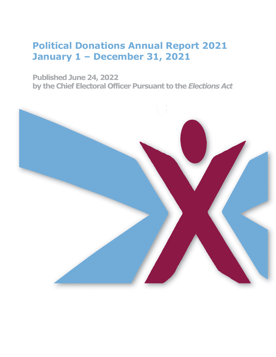**Published June 24, 2022 by the Chief Electoral Officer Pursuant to the** *Elections Act*

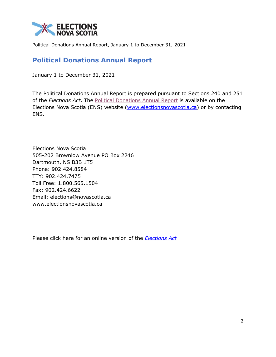

# **Political Donations Annual Report**

January 1 to December 31, 2021

The Political Donations Annual Report is prepared pursuant to Sections 240 and 251 of the *Elections Act*. The [Political Donations Annual Report](https://electionsnovascotia.ca/sites/default/files/PoliticalDonationsAnnualReport2021.pdf) is available on the Elections Nova Scotia (ENS) website [\(www.electionsnovascotia.ca\)](http://www.electionsnovascotia.ca/) or by contacting ENS.

Elections Nova Scotia 505-202 Brownlow Avenue PO Box 2246 Dartmouth, NS B3B 1T5 Phone: 902.424.8584 TTY: 902.424.7475 Toll Free: 1.800.565.1504 Fax: 902.424.6622 Email: elections@novascotia.ca www.electionsnovascotia.ca

Please click here for an online version of the *[Elections Act](https://nslegislature.ca/sites/default/files/legc/statutes/elections.pdf)*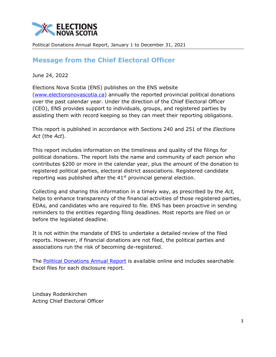

# **Message from the Chief Electoral Officer**

June 24, 2022

Elections Nova Scotia (ENS) publishes on the ENS website [\(www.electionsnovascotia.ca\)](http://www.electionsnovascotia.ca/) annually the reported provincial political donations over the past calendar year. Under the direction of the Chief Electoral Officer (CEO), ENS provides support to individuals, groups, and registered parties by assisting them with record keeping so they can meet their reporting obligations.

This report is published in accordance with Sections 240 and 251 of the *Elections Act* (the *Act*).

This report includes information on the timeliness and quality of the filings for political donations. The report lists the name and community of each person who contributes \$200 or more in the calendar year, plus the amount of the donation to registered political parties, electoral district associations. Registered candidate reporting was published after the  $41<sup>st</sup>$  provincial general election.

Collecting and sharing this information in a timely way, as prescribed by the *Act,* helps to enhance transparency of the financial activities of those registered parties, EDAs, and candidates who are required to file. ENS has been proactive in sending reminders to the entities regarding filing deadlines. Most reports are filed on or before the legislated deadline.

It is not within the mandate of ENS to undertake a detailed review of the filed reports. However, if financial donations are not filed, the political parties and associations run the risk of becoming de-registered.

The [Political Donations Annual Report](https://electionsnovascotia.ca/sites/default/files/PoliticalDonationsAnnualReport2021.pdf) is available online and includes searchable Excel files for each disclosure report.

Lindsay Rodenkirchen Acting Chief Electoral Officer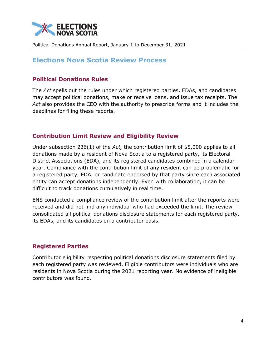

## **Elections Nova Scotia Review Process**

#### **Political Donations Rules**

The *Act* spells out the rules under which registered parties, EDAs, and candidates may accept political donations, make or receive loans, and issue tax receipts. The *Act* also provides the CEO with the authority to prescribe forms and it includes the deadlines for filing these reports.

#### **Contribution Limit Review and Eligibility Review**

Under subsection 236(1) of the *Act,* the contribution limit of \$5,000 applies to all donations made by a resident of Nova Scotia to a registered party, its Electoral District Associations (EDA), and its registered candidates combined in a calendar year. Compliance with the contribution limit of any resident can be problematic for a registered party, EDA, or candidate endorsed by that party since each associated entity can accept donations independently. Even with collaboration, it can be difficult to track donations cumulatively in real time.

ENS conducted a compliance review of the contribution limit after the reports were received and did not find any individual who had exceeded the limit. The review consolidated all political donations disclosure statements for each registered party, its EDAs, and its candidates on a contributor basis.

#### **Registered Parties**

Contributor eligibility respecting political donations disclosure statements filed by each registered party was reviewed. Eligible contributors were individuals who are residents in Nova Scotia during the 2021 reporting year. No evidence of ineligible contributors was found.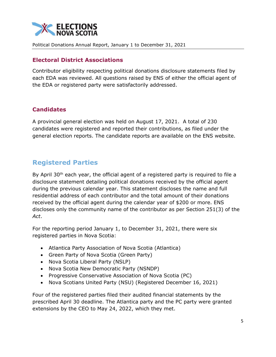

#### **Electoral District Associations**

Contributor eligibility respecting political donations disclosure statements filed by each EDA was reviewed. All questions raised by ENS of either the official agent of the EDA or registered party were satisfactorily addressed.

#### **Candidates**

A provincial general election was held on August 17, 2021. A total of 230 candidates were registered and reported their contributions, as filed under the general election reports. The candidate reports are available on the ENS website.

# **Registered Parties**

By April  $30<sup>th</sup>$  each year, the official agent of a registered party is required to file a disclosure statement detailing political donations received by the official agent during the previous calendar year. This statement discloses the name and full residential address of each contributor and the total amount of their donations received by the official agent during the calendar year of \$200 or more. ENS discloses only the community name of the contributor as per Section 251(3) of the *Act*.

For the reporting period January 1, to December 31, 2021, there were six registered parties in Nova Scotia:

- Atlantica Party Association of Nova Scotia (Atlantica)
- Green Party of Nova Scotia (Green Party)
- Nova Scotia Liberal Party (NSLP)
- Nova Scotia New Democratic Party (NSNDP)
- Progressive Conservative Association of Nova Scotia (PC)
- Nova Scotians United Party (NSU) (Registered December 16, 2021)

Four of the registered parties filed their audited financial statements by the prescribed April 30 deadline. The Atlantica party and the PC party were granted extensions by the CEO to May 24, 2022, which they met.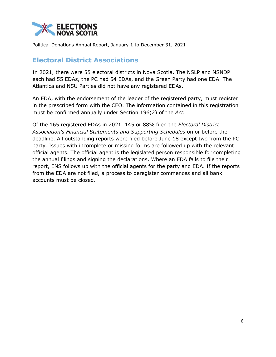

## **Electoral District Associations**

In 2021, there were 55 electoral districts in Nova Scotia. The NSLP and NSNDP each had 55 EDAs, the PC had 54 EDAs, and the Green Party had one EDA. The Atlantica and NSU Parties did not have any registered EDAs.

An EDA, with the endorsement of the leader of the registered party, must register in the prescribed form with the CEO. The information contained in this registration must be confirmed annually under Section 196(2) of the *Act.* 

Of the 165 registered EDAs in 2021, 145 or 88% filed the *Electoral District Association's Financial Statements and Supporting Schedules* on or before the deadline. All outstanding reports were filed before June 18 except two from the PC party. Issues with incomplete or missing forms are followed up with the relevant official agents. The official agent is the legislated person responsible for completing the annual filings and signing the declarations. Where an EDA fails to file their report, ENS follows up with the official agents for the party and EDA. If the reports from the EDA are not filed, a process to deregister commences and all bank accounts must be closed.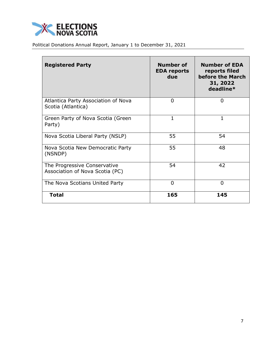

| <b>Registered Party</b>                                         | <b>Number of</b><br><b>EDA reports</b><br>due | <b>Number of EDA</b><br>reports filed<br>before the March<br>31, 2022<br>deadline* |
|-----------------------------------------------------------------|-----------------------------------------------|------------------------------------------------------------------------------------|
| Atlantica Party Association of Nova<br>Scotia (Atlantica)       | $\overline{0}$                                | $\Omega$                                                                           |
| Green Party of Nova Scotia (Green<br>Party)                     | 1                                             | 1                                                                                  |
| Nova Scotia Liberal Party (NSLP)                                | 55                                            | 54                                                                                 |
| Nova Scotia New Democratic Party<br>(NSNDP)                     | 55                                            | 48                                                                                 |
| The Progressive Conservative<br>Association of Nova Scotia (PC) | 54                                            | 42                                                                                 |
| The Nova Scotians United Party                                  | $\Omega$                                      | $\Omega$                                                                           |
| <b>Total</b>                                                    | 165                                           | 145                                                                                |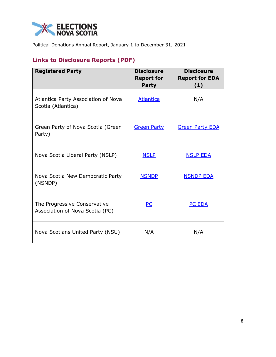

# **Links to Disclosure Reports (PDF)**

| <b>Registered Party</b>                                         | <b>Disclosure</b><br><b>Report for</b><br><b>Party</b> | <b>Disclosure</b><br><b>Report for EDA</b><br>(1) |
|-----------------------------------------------------------------|--------------------------------------------------------|---------------------------------------------------|
| Atlantica Party Association of Nova<br>Scotia (Atlantica)       | <b>Atlantica</b>                                       | N/A                                               |
| Green Party of Nova Scotia (Green<br>Party)                     | <b>Green Party</b>                                     | <b>Green Party EDA</b>                            |
| Nova Scotia Liberal Party (NSLP)                                | <b>NSLP</b>                                            | <b>NSLP EDA</b>                                   |
| Nova Scotia New Democratic Party<br>(NSNDP)                     | <b>NSNDP</b>                                           | <b>NSNDP EDA</b>                                  |
| The Progressive Conservative<br>Association of Nova Scotia (PC) | <b>PC</b>                                              | PC EDA                                            |
| Nova Scotians United Party (NSU)                                | N/A                                                    | N/A                                               |